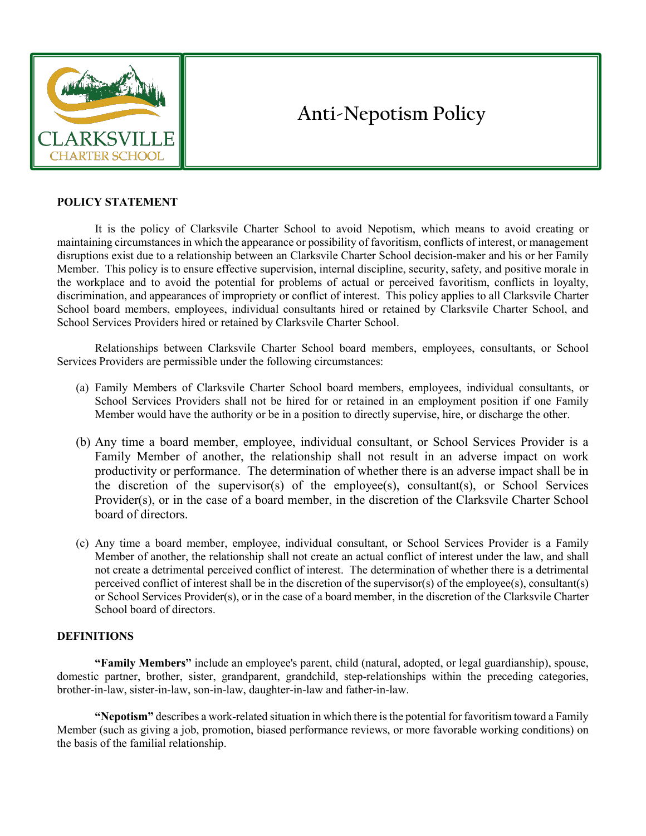

# **Anti-Nepotism Policy**

## **POLICY STATEMENT**

It is the policy of Clarksvile Charter School to avoid Nepotism, which means to avoid creating or maintaining circumstances in which the appearance or possibility of favoritism, conflicts of interest, or management disruptions exist due to a relationship between an Clarksvile Charter School decision-maker and his or her Family Member. This policy is to ensure effective supervision, internal discipline, security, safety, and positive morale in the workplace and to avoid the potential for problems of actual or perceived favoritism, conflicts in loyalty, discrimination, and appearances of impropriety or conflict of interest. This policy applies to all Clarksvile Charter School board members, employees, individual consultants hired or retained by Clarksvile Charter School, and School Services Providers hired or retained by Clarksvile Charter School.

Relationships between Clarksvile Charter School board members, employees, consultants, or School Services Providers are permissible under the following circumstances:

- (a) Family Members of Clarksvile Charter School board members, employees, individual consultants, or School Services Providers shall not be hired for or retained in an employment position if one Family Member would have the authority or be in a position to directly supervise, hire, or discharge the other.
- (b) Any time a board member, employee, individual consultant, or School Services Provider is a Family Member of another, the relationship shall not result in an adverse impact on work productivity or performance. The determination of whether there is an adverse impact shall be in the discretion of the supervisor(s) of the employee(s), consultant(s), or School Services Provider(s), or in the case of a board member, in the discretion of the Clarksvile Charter School board of directors.
- (c) Any time a board member, employee, individual consultant, or School Services Provider is a Family Member of another, the relationship shall not create an actual conflict of interest under the law, and shall not create a detrimental perceived conflict of interest. The determination of whether there is a detrimental perceived conflict of interest shall be in the discretion of the supervisor(s) of the employee(s), consultant(s) or School Services Provider(s), or in the case of a board member, in the discretion of the Clarksvile Charter School board of directors.

## **DEFINITIONS**

**"Family Members"** include an employee's parent, child (natural, adopted, or legal guardianship), spouse, domestic partner, brother, sister, grandparent, grandchild, step-relationships within the preceding categories, brother-in-law, sister-in-law, son-in-law, daughter-in-law and father-in-law.

**"Nepotism"** describes a work-related situation in which there is the potential for favoritism toward a Family Member (such as giving a job, promotion, biased performance reviews, or more favorable working conditions) on the basis of the familial relationship.